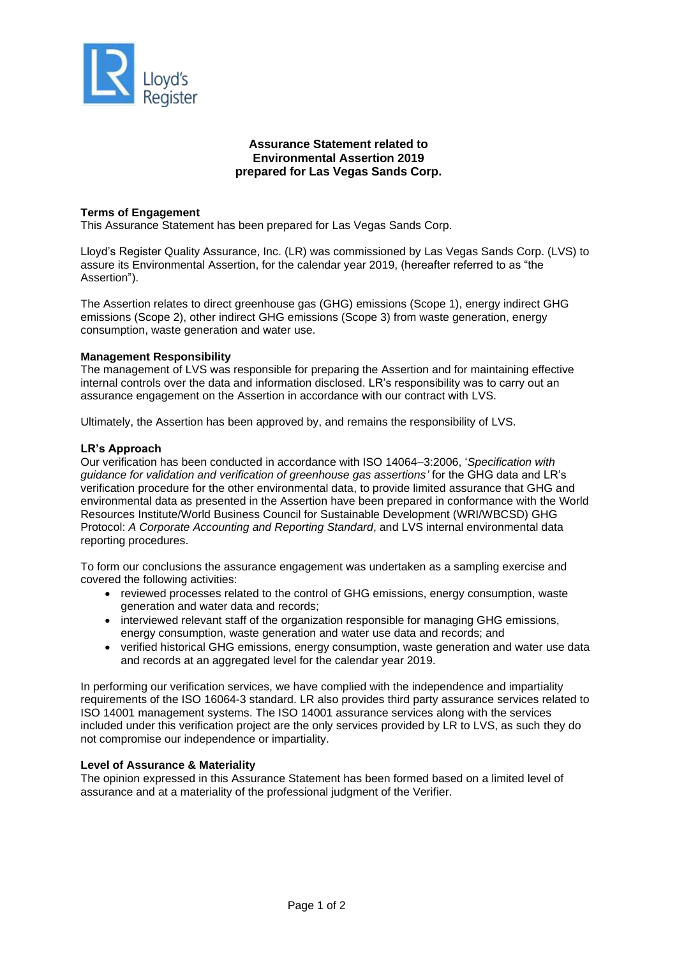

# **Assurance Statement related to Environmental Assertion 2019 prepared for Las Vegas Sands Corp.**

## **Terms of Engagement**

This Assurance Statement has been prepared for Las Vegas Sands Corp.

Lloyd's Register Quality Assurance, Inc. (LR) was commissioned by Las Vegas Sands Corp. (LVS) to assure its Environmental Assertion, for the calendar year 2019, (hereafter referred to as "the Assertion").

The Assertion relates to direct greenhouse gas (GHG) emissions (Scope 1), energy indirect GHG emissions (Scope 2), other indirect GHG emissions (Scope 3) from waste generation, energy consumption, waste generation and water use.

## **Management Responsibility**

The management of LVS was responsible for preparing the Assertion and for maintaining effective internal controls over the data and information disclosed. LR's responsibility was to carry out an assurance engagement on the Assertion in accordance with our contract with LVS.

Ultimately, the Assertion has been approved by, and remains the responsibility of LVS.

## **LR's Approach**

Our verification has been conducted in accordance with ISO 14064–3:2006, '*Specification with guidance for validation and verification of greenhouse gas assertions'* for the GHG data and LR's verification procedure for the other environmental data, to provide limited assurance that GHG and environmental data as presented in the Assertion have been prepared in conformance with the World Resources Institute/World Business Council for Sustainable Development (WRI/WBCSD) GHG Protocol: *A Corporate Accounting and Reporting Standard*, and LVS internal environmental data reporting procedures.

To form our conclusions the assurance engagement was undertaken as a sampling exercise and covered the following activities:

- reviewed processes related to the control of GHG emissions, energy consumption, waste generation and water data and records;
- interviewed relevant staff of the organization responsible for managing GHG emissions, energy consumption, waste generation and water use data and records; and
- verified historical GHG emissions, energy consumption, waste generation and water use data and records at an aggregated level for the calendar year 2019.

In performing our verification services, we have complied with the independence and impartiality requirements of the ISO 16064-3 standard. LR also provides third party assurance services related to ISO 14001 management systems. The ISO 14001 assurance services along with the services included under this verification project are the only services provided by LR to LVS, as such they do not compromise our independence or impartiality.

### **Level of Assurance & Materiality**

The opinion expressed in this Assurance Statement has been formed based on a limited level of assurance and at a materiality of the professional judgment of the Verifier.